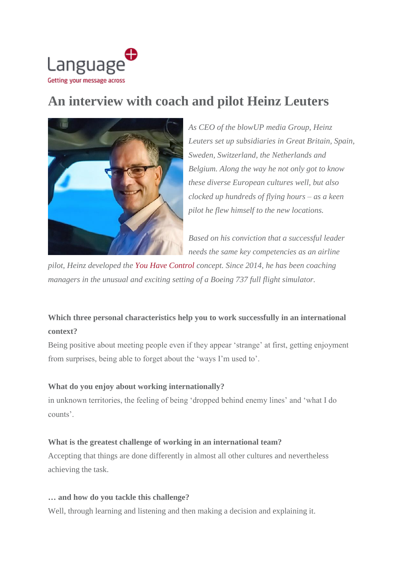

# **An interview with coach and pilot Heinz Leuters**



*As CEO of the blowUP media Group, Heinz Leuters set up subsidiaries in Great Britain, Spain, Sweden, Switzerland, the Netherlands and Belgium. Along the way he not only got to know these diverse European cultures well, but also clocked up hundreds of flying hours – as a keen pilot he flew himself to the new locations.*

*Based on his conviction that a successful leader needs the same key competencies as an airline*

*pilot, Heinz developed the You Have [Control](http://www.heinz-leuters.de/boeing-flight-sim-workshop/) concept. Since 2014, he has been coaching managers in the unusual and exciting setting of a Boeing 737 full flight simulator.*

## **Which three personal characteristics help you to work successfully in an international context?**

Being positive about meeting people even if they appear 'strange' at first, getting enjoyment from surprises, being able to forget about the 'ways I'm used to'.

### **What do you enjoy about working internationally?**

in unknown territories, the feeling of being 'dropped behind enemy lines' and 'what I do counts'.

#### **What is the greatest challenge of working in an international team?**

Accepting that things are done differently in almost all other cultures and nevertheless achieving the task.

#### **… and how do you tackle this challenge?**

Well, through learning and listening and then making a decision and explaining it.